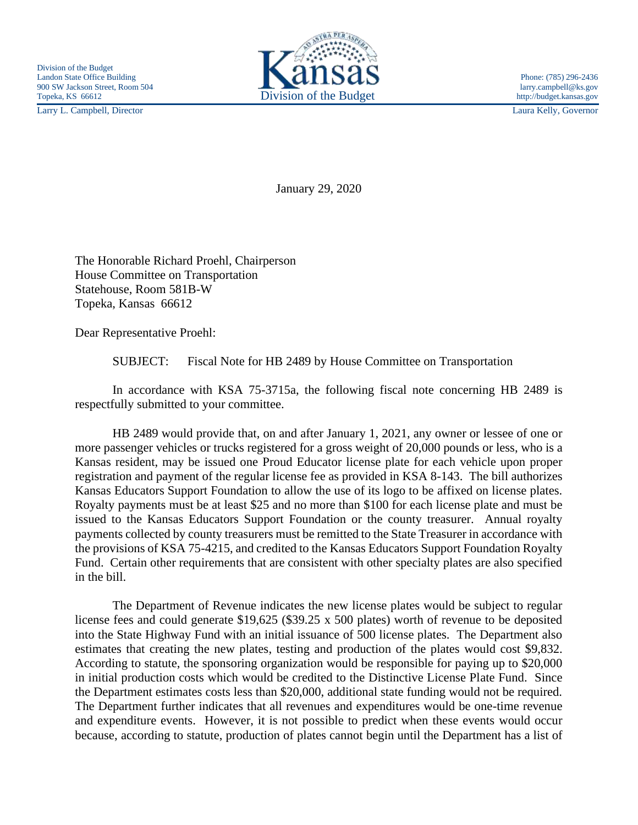Larry L. Campbell, Director Laura Kelly, Governor



January 29, 2020

The Honorable Richard Proehl, Chairperson House Committee on Transportation Statehouse, Room 581B-W Topeka, Kansas 66612

Dear Representative Proehl:

SUBJECT: Fiscal Note for HB 2489 by House Committee on Transportation

In accordance with KSA 75-3715a, the following fiscal note concerning HB 2489 is respectfully submitted to your committee.

HB 2489 would provide that, on and after January 1, 2021, any owner or lessee of one or more passenger vehicles or trucks registered for a gross weight of 20,000 pounds or less, who is a Kansas resident, may be issued one Proud Educator license plate for each vehicle upon proper registration and payment of the regular license fee as provided in KSA 8-143. The bill authorizes Kansas Educators Support Foundation to allow the use of its logo to be affixed on license plates. Royalty payments must be at least \$25 and no more than \$100 for each license plate and must be issued to the Kansas Educators Support Foundation or the county treasurer. Annual royalty payments collected by county treasurers must be remitted to the State Treasurer in accordance with the provisions of KSA 75-4215, and credited to the Kansas Educators Support Foundation Royalty Fund. Certain other requirements that are consistent with other specialty plates are also specified in the bill.

The Department of Revenue indicates the new license plates would be subject to regular license fees and could generate \$19,625 (\$39.25 x 500 plates) worth of revenue to be deposited into the State Highway Fund with an initial issuance of 500 license plates. The Department also estimates that creating the new plates, testing and production of the plates would cost \$9,832. According to statute, the sponsoring organization would be responsible for paying up to \$20,000 in initial production costs which would be credited to the Distinctive License Plate Fund. Since the Department estimates costs less than \$20,000, additional state funding would not be required. The Department further indicates that all revenues and expenditures would be one-time revenue and expenditure events. However, it is not possible to predict when these events would occur because, according to statute, production of plates cannot begin until the Department has a list of